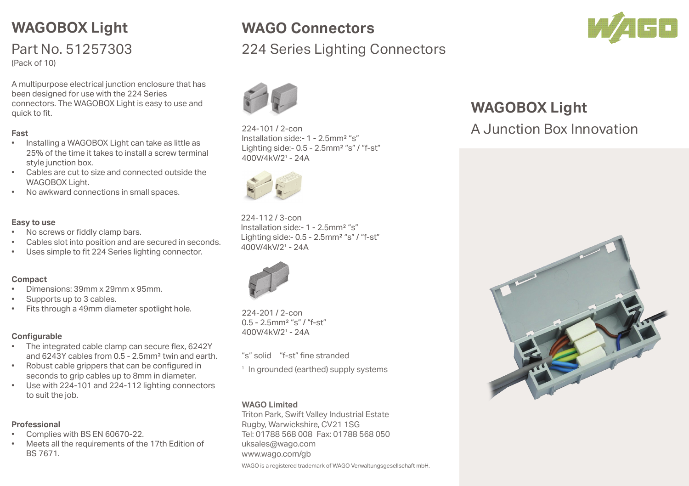# **WAGOBOX Light**

### Part No. 51257303

(Pack of 10)

A multipurpose electrical junction enclosure that has been designed for use with the 224 Series connectors. The WAGOBOX Light is easy to use and quick to fit.

### **Fast**

- Installing a WAGOBOX Light can take as little as 25% of the time it takes to install a screw terminal style junction box.
- Cables are cut to size and connected outside the WAGOBOX Light.
- No awkward connections in small spaces.

#### **Easy to use**

- No screws or fiddly clamp bars.
- Cables slot into position and are secured in seconds.<br>• Lises simple to fit 224 Series lighting connector
- Uses simple to fit 224 Series lighting connector.

#### **Compact**

- Dimensions: 39mm x 29mm x 95mm.
- Supports up to 3 cables.<br>• Fits through a 49mm diar
- Fits through a 49mm diameter spotlight hole.

## **Configurable**

- The integrated cable clamp can secure flex, 6242Y and 6243Y cables from 0.5 - 2.5mm2 twin and earth.
- Robust cable grippers that can be configured in seconds to grip cables up to 8mm in diameter.
- Use with 224-101 and 224-112 lighting connectors to suit the job.

### **Professional**

- Complies with BS EN 60670-22.
- Meets all the requirements of the 17th Edition of BS 7671.

## **WAGO Connectors**

## 224 Series Lighting Connectors



224-101 / 2-con Installation side:- 1 - 2.5mm2 "s" Lighting side:- 0.5 - 2.5mm2 "s" / "f-st" 400V/4kV/2<sup>1</sup> - 24A



224-112 / 3-con Installation side:- 1 - 2.5mm2 "s" Lighting side:- 0.5 - 2.5mm2 "s" / "f-st" 400V/4kV/2<sup>1</sup> - 24A



224-201 / 2-con 0.5 - 2.5mm2 "s" / "f-st" 400V/4kV/2<sup>1</sup> - 24A

"s" solid "f-st" fine stranded

1 In grounded (earthed) supply systems

#### **WAGO Limited**

Triton Park, Swift Valley Industrial Estate Rugby, Warwickshire, CV21 1SG Tel: 01788 568 008 Fax: 01788 568 050 uksales@wago.com www.wago.com/gb

WAGO is a registered trademark of WAGO Verwaltungsgesellschaft mbH.



## A Junction Box Innovation